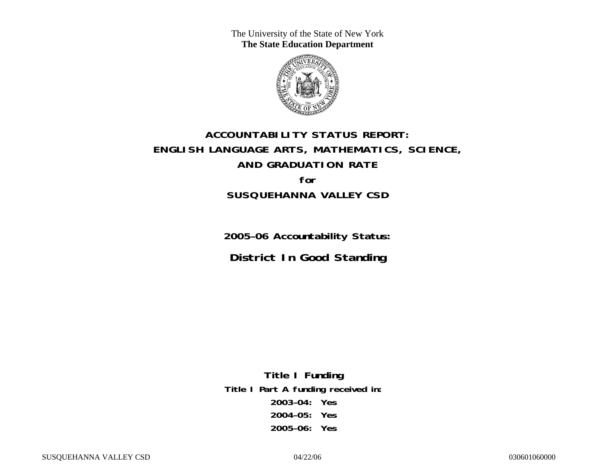The University of the State of New York **The State Education Department** 



# **ACCOUNTABILITY STATUS REPORT: ENGLISH LANGUAGE ARTS, MATHEMATICS, SCIENCE, AND GRADUATION RATE for SUSQUEHANNA VALLEY CSD**

**2005–06 Accountability Status: District In Good Standing** 

**Title I Funding Title I Part A funding received in: 2003–04: Yes 2004–05: Yes 2005–06: Yes**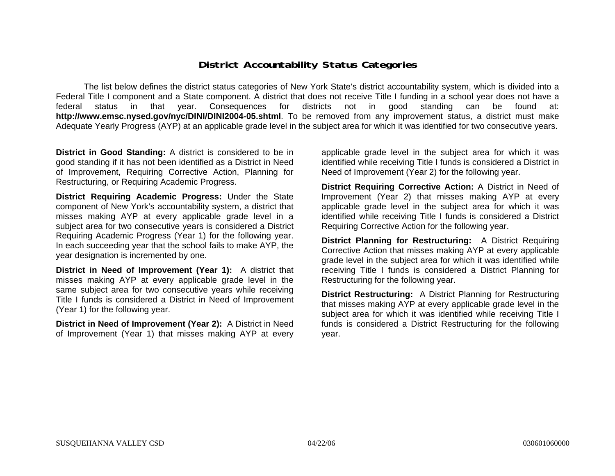### **District Accountability Status Categories**

The list below defines the district status categories of New York State's district accountability system, which is divided into a Federal Title I component and a State component. A district that does not receive Title I funding in a school year does not have a federal status in that year. Consequences for districts not in good standing can be found at: **http://www.emsc.nysed.gov/nyc/DINI/DINI2004-05.shtml**. To be removed from any improvement status, a district must make Adequate Yearly Progress (AYP) at an applicable grade level in the subject area for which it was identified for two consecutive years.

**District in Good Standing:** A district is considered to be in good standing if it has not been identified as a District in Need of Improvement, Requiring Corrective Action, Planning for Restructuring, or Requiring Academic Progress.

**District Requiring Academic Progress:** Under the State component of New York's accountability system, a district that misses making AYP at every applicable grade level in a subject area for two consecutive years is considered a District Requiring Academic Progress (Year 1) for the following year. In each succeeding year that the school fails to make AYP, the year designation is incremented by one.

**District in Need of Improvement (Year 1):** A district that misses making AYP at every applicable grade level in the same subject area for two consecutive years while receiving Title I funds is considered a District in Need of Improvement (Year 1) for the following year.

**District in Need of Improvement (Year 2):** A District in Need of Improvement (Year 1) that misses making AYP at every

applicable grade level in the subject area for which it was identified while receiving Title I funds is considered a District in Need of Improvement (Year 2) for the following year.

**District Requiring Corrective Action:** A District in Need of Improvement (Year 2) that misses making AYP at every applicable grade level in the subject area for which it was identified while receiving Title I funds is considered a District Requiring Corrective Action for the following year.

**District Planning for Restructuring:** A District Requiring Corrective Action that misses making AYP at every applicable grade level in the subject area for which it was identified while receiving Title I funds is considered a District Planning for Restructuring for the following year.

**District Restructuring:** A District Planning for Restructuring that misses making AYP at every applicable grade level in the subject area for which it was identified while receiving Title I funds is considered a District Restructuring for the following year.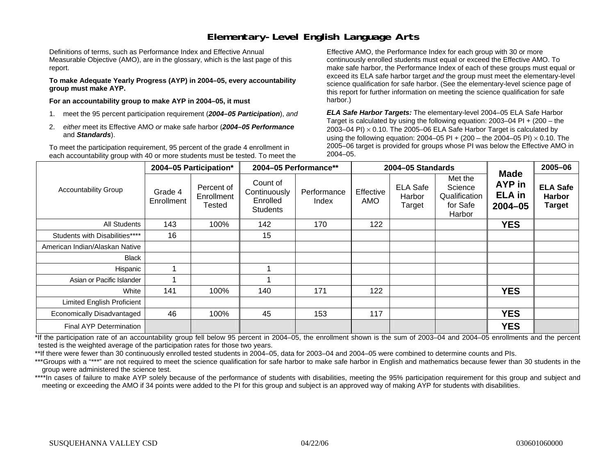### **Elementary-Level English Language Arts**

Definitions of terms, such as Performance Index and Effective Annual Measurable Objective (AMO), are in the glossary, which is the last page of this report.

**To make Adequate Yearly Progress (AYP) in 2004–05, every accountability group must make AYP.** 

**For an accountability group to make AYP in 2004–05, it must** 

- 1. meet the 95 percent participation requirement (*2004–05 Participation*), *and*
- 2. *either* meet its Effective AMO *or* make safe harbor (*2004–05 Performance*  and *Standards*).

To meet the participation requirement, 95 percent of the grade 4 enrollment in each accountability group with 40 or more students must be tested. To meet the

Effective AMO, the Performance Index for each group with 30 or more continuously enrolled students must equal or exceed the Effective AMO. To make safe harbor, the Performance Index of each of these groups must equal or exceed its ELA safe harbor target *and* the group must meet the elementary-level science qualification for safe harbor. (See the elementary-level science page of this report for further information on meeting the science qualification for safe harbor.)

*ELA Safe Harbor Targets:* The elementary-level 2004–05 ELA Safe Harbor Target is calculated by using the following equation: 2003–04 PI + (200 – the 2003–04 PI)  $\times$  0.10. The 2005–06 ELA Safe Harbor Target is calculated by using the following equation: 2004–05 PI + (200 – the 2004–05 PI) × 0.10. The 2005–06 target is provided for groups whose PI was below the Effective AMO in 2004–05.

|                                |                       | 2004-05 Participation*                    | 2004-05 Performance**                                   |                      |                  | 2004-05 Standards                   |                                                           |                                                       | 2005-06                                           |
|--------------------------------|-----------------------|-------------------------------------------|---------------------------------------------------------|----------------------|------------------|-------------------------------------|-----------------------------------------------------------|-------------------------------------------------------|---------------------------------------------------|
| <b>Accountability Group</b>    | Grade 4<br>Enrollment | Percent of<br>Enrollment<br><b>Tested</b> | Count of<br>Continuously<br>Enrolled<br><b>Students</b> | Performance<br>Index | Effective<br>AMO | <b>ELA Safe</b><br>Harbor<br>Target | Met the<br>Science<br>Qualification<br>for Safe<br>Harbor | <b>Made</b><br>AYP in<br><b>ELA</b> in<br>$2004 - 05$ | <b>ELA Safe</b><br><b>Harbor</b><br><b>Target</b> |
| <b>All Students</b>            | 143                   | 100%                                      | 142                                                     | 170                  | 122              |                                     |                                                           | <b>YES</b>                                            |                                                   |
| Students with Disabilities**** | 16                    |                                           | 15                                                      |                      |                  |                                     |                                                           |                                                       |                                                   |
| American Indian/Alaskan Native |                       |                                           |                                                         |                      |                  |                                     |                                                           |                                                       |                                                   |
| <b>Black</b>                   |                       |                                           |                                                         |                      |                  |                                     |                                                           |                                                       |                                                   |
| Hispanic                       |                       |                                           |                                                         |                      |                  |                                     |                                                           |                                                       |                                                   |
| Asian or Pacific Islander      |                       |                                           |                                                         |                      |                  |                                     |                                                           |                                                       |                                                   |
| White                          | 141                   | 100%                                      | 140                                                     | 171                  | 122              |                                     |                                                           | <b>YES</b>                                            |                                                   |
| Limited English Proficient     |                       |                                           |                                                         |                      |                  |                                     |                                                           |                                                       |                                                   |
| Economically Disadvantaged     | 46                    | 100%                                      | 45                                                      | 153                  | 117              |                                     |                                                           | <b>YES</b>                                            |                                                   |
| <b>Final AYP Determination</b> |                       |                                           |                                                         |                      |                  |                                     |                                                           | <b>YES</b>                                            |                                                   |

\*If the participation rate of an accountability group fell below 95 percent in 2004–05, the enrollment shown is the sum of 2003–04 and 2004–05 enrollments and the percent tested is the weighted average of the participation rates for those two years.

\*\*If there were fewer than 30 continuously enrolled tested students in 2004–05, data for 2003–04 and 2004–05 were combined to determine counts and PIs.

\*\*\*Groups with a "\*\*\*" are not required to meet the science qualification for safe harbor to make safe harbor in English and mathematics because fewer than 30 students in the group were administered the science test.

\*\*\*\*In cases of failure to make AYP solely because of the performance of students with disabilities, meeting the 95% participation requirement for this group and subject and meeting or exceeding the AMO if 34 points were added to the PI for this group and subject is an approved way of making AYP for students with disabilities.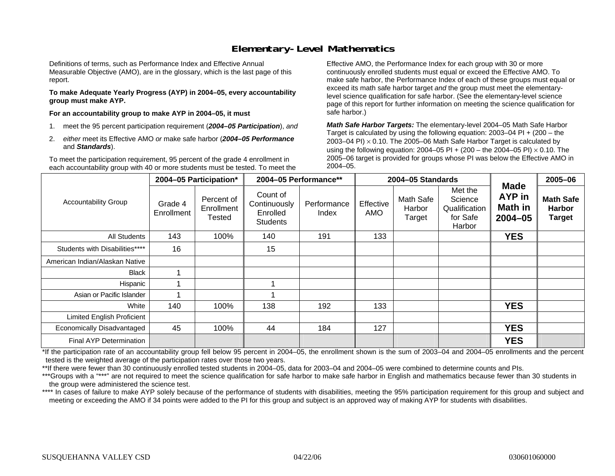### **Elementary-Level Mathematics**

Definitions of terms, such as Performance Index and Effective Annual Measurable Objective (AMO), are in the glossary, which is the last page of this report.

**To make Adequate Yearly Progress (AYP) in 2004–05, every accountability group must make AYP.** 

**For an accountability group to make AYP in 2004–05, it must** 

- 1. meet the 95 percent participation requirement (*2004–05 Participation*), *and*
- 2. *either* meet its Effective AMO *or* make safe harbor (*2004–05 Performance*  and *Standards*).

To meet the participation requirement, 95 percent of the grade 4 enrollment in each accountability group with 40 or more students must be tested. To meet the

Effective AMO, the Performance Index for each group with 30 or more continuously enrolled students must equal or exceed the Effective AMO. To make safe harbor, the Performance Index of each of these groups must equal or exceed its math safe harbor target *and* the group must meet the elementarylevel science qualification for safe harbor. (See the elementary-level science page of this report for further information on meeting the science qualification for safe harbor.)

*Math Safe Harbor Targets:* The elementary-level 2004–05 Math Safe Harbor Target is calculated by using the following equation: 2003–04 PI + (200 – the 2003–04 PI) <sup>×</sup> 0.10. The 2005–06 Math Safe Harbor Target is calculated by using the following equation: 2004–05 PI + (200 – the 2004–05 PI) × 0.10. The 2005–06 target is provided for groups whose PI was below the Effective AMO in 2004–05.

|                                   |                       | 2004-05 Participation*             |                                                         | 2004-05 Performance** |                  | 2004-05 Standards             |                                                           |                                                        | 2005-06                                            |
|-----------------------------------|-----------------------|------------------------------------|---------------------------------------------------------|-----------------------|------------------|-------------------------------|-----------------------------------------------------------|--------------------------------------------------------|----------------------------------------------------|
| <b>Accountability Group</b>       | Grade 4<br>Enrollment | Percent of<br>Enrollment<br>Tested | Count of<br>Continuously<br>Enrolled<br><b>Students</b> | Performance<br>Index  | Effective<br>AMO | Math Safe<br>Harbor<br>Target | Met the<br>Science<br>Qualification<br>for Safe<br>Harbor | <b>Made</b><br><b>AYP</b> in<br>Math in<br>$2004 - 05$ | <b>Math Safe</b><br><b>Harbor</b><br><b>Target</b> |
| <b>All Students</b>               | 143                   | 100%                               | 140                                                     | 191                   | 133              |                               |                                                           | <b>YES</b>                                             |                                                    |
| Students with Disabilities****    | 16                    |                                    | 15                                                      |                       |                  |                               |                                                           |                                                        |                                                    |
| American Indian/Alaskan Native    |                       |                                    |                                                         |                       |                  |                               |                                                           |                                                        |                                                    |
| <b>Black</b>                      |                       |                                    |                                                         |                       |                  |                               |                                                           |                                                        |                                                    |
| Hispanic                          |                       |                                    |                                                         |                       |                  |                               |                                                           |                                                        |                                                    |
| Asian or Pacific Islander         |                       |                                    |                                                         |                       |                  |                               |                                                           |                                                        |                                                    |
| White                             | 140                   | 100%                               | 138                                                     | 192                   | 133              |                               |                                                           | <b>YES</b>                                             |                                                    |
| <b>Limited English Proficient</b> |                       |                                    |                                                         |                       |                  |                               |                                                           |                                                        |                                                    |
| Economically Disadvantaged        | 45                    | 100%                               | 44                                                      | 184                   | 127              |                               |                                                           | <b>YES</b>                                             |                                                    |
| Final AYP Determination           |                       |                                    |                                                         |                       |                  |                               |                                                           | <b>YES</b>                                             |                                                    |

\*If the participation rate of an accountability group fell below 95 percent in 2004–05, the enrollment shown is the sum of 2003–04 and 2004–05 enrollments and the percent tested is the weighted average of the participation rates over those two years.

\*\*If there were fewer than 30 continuously enrolled tested students in 2004–05, data for 2003–04 and 2004–05 were combined to determine counts and PIs.

\*\*\*Groups with a "\*\*\*" are not required to meet the science qualification for safe harbor to make safe harbor in English and mathematics because fewer than 30 students in the group were administered the science test.

\*\*\*\* In cases of failure to make AYP solely because of the performance of students with disabilities, meeting the 95% participation requirement for this group and subject and meeting or exceeding the AMO if 34 points were added to the PI for this group and subject is an approved way of making AYP for students with disabilities.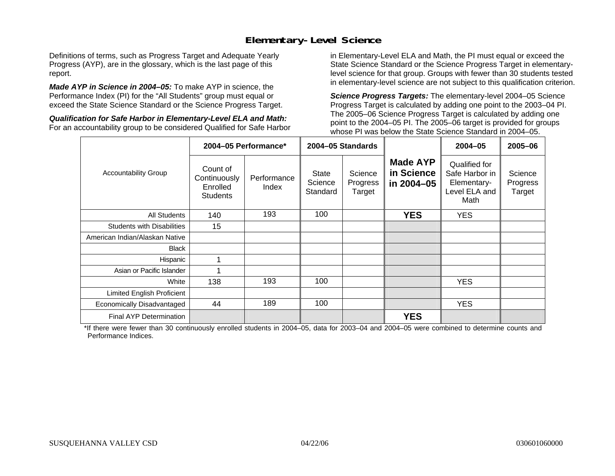### **Elementary-Level Science**

Definitions of terms, such as Progress Target and Adequate Yearly Progress (AYP), are in the glossary, which is the last page of this report.

*Made AYP in Science in 2004–05:* To make AYP in science, the Performance Index (PI) for the "All Students" group must equal or exceed the State Science Standard or the Science Progress Target.

*Qualification for Safe Harbor in Elementary-Level ELA and Math:* For an accountability group to be considered Qualified for Safe Harbor in Elementary-Level ELA and Math, the PI must equal or exceed the State Science Standard or the Science Progress Target in elementarylevel science for that group. Groups with fewer than 30 students tested in elementary-level science are not subject to this qualification criterion.

*Science Progress Targets:* The elementary-level 2004–05 Science Progress Target is calculated by adding one point to the 2003–04 PI. The 2005–06 Science Progress Target is calculated by adding one point to the 2004–05 PI. The 2005–06 target is provided for groups whose PI was below the State Science Standard in 2004–05.

|                                   |                                                         | 2004-05 Performance* |                                     | 2004-05 Standards             |                                             | $2004 - 05$                                                             | $2005 - 06$                   |
|-----------------------------------|---------------------------------------------------------|----------------------|-------------------------------------|-------------------------------|---------------------------------------------|-------------------------------------------------------------------------|-------------------------------|
| <b>Accountability Group</b>       | Count of<br>Continuously<br>Enrolled<br><b>Students</b> | Performance<br>Index | <b>State</b><br>Science<br>Standard | Science<br>Progress<br>Target | <b>Made AYP</b><br>in Science<br>in 2004-05 | Qualified for<br>Safe Harbor in<br>Elementary-<br>Level ELA and<br>Math | Science<br>Progress<br>Target |
| <b>All Students</b>               | 140                                                     | 193                  | 100                                 |                               | <b>YES</b>                                  | <b>YES</b>                                                              |                               |
| <b>Students with Disabilities</b> | 15                                                      |                      |                                     |                               |                                             |                                                                         |                               |
| American Indian/Alaskan Native    |                                                         |                      |                                     |                               |                                             |                                                                         |                               |
| <b>Black</b>                      |                                                         |                      |                                     |                               |                                             |                                                                         |                               |
| Hispanic                          |                                                         |                      |                                     |                               |                                             |                                                                         |                               |
| Asian or Pacific Islander         |                                                         |                      |                                     |                               |                                             |                                                                         |                               |
| White                             | 138                                                     | 193                  | 100                                 |                               |                                             | <b>YES</b>                                                              |                               |
| Limited English Proficient        |                                                         |                      |                                     |                               |                                             |                                                                         |                               |
| Economically Disadvantaged        | 44                                                      | 189                  | 100                                 |                               |                                             | <b>YES</b>                                                              |                               |
| <b>Final AYP Determination</b>    |                                                         |                      |                                     |                               | <b>YES</b>                                  |                                                                         |                               |

\*If there were fewer than 30 continuously enrolled students in 2004–05, data for 2003–04 and 2004–05 were combined to determine counts and Performance Indices.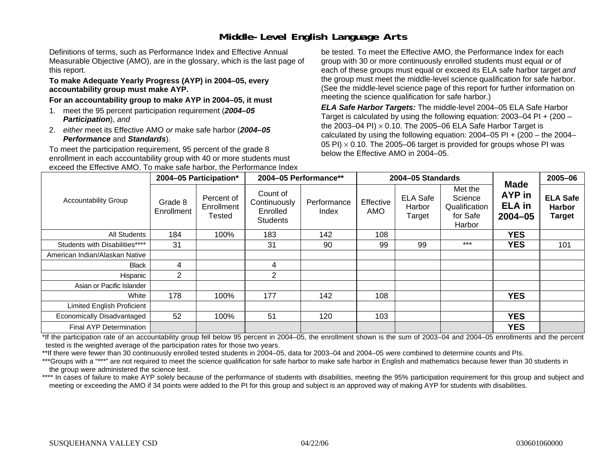# **Middle-Level English Language Arts**

Definitions of terms, such as Performance Index and Effective Annual Measurable Objective (AMO), are in the glossary, which is the last page of this report.

#### **To make Adequate Yearly Progress (AYP) in 2004–05, every accountability group must make AYP.**

#### **For an accountability group to make AYP in 2004–05, it must**

- 1. meet the 95 percent participation requirement (*2004–05 Participation*), *and*
- 2. *either* meet its Effective AMO *or* make safe harbor (*2004–05 Performance* and *Standards*).

To meet the participation requirement, 95 percent of the grade 8 enrollment in each accountability group with 40 or more students must exceed the Effective AMO. To make safe harbor, the Performance Index

be tested. To meet the Effective AMO, the Performance Index for each group with 30 or more continuously enrolled students must equal or of each of these groups must equal or exceed its ELA safe harbor target *and* the group must meet the middle-level science qualification for safe harbor. (See the middle-level science page of this report for further information on meeting the science qualification for safe harbor.)

*ELA Safe Harbor Targets:* The middle-level 2004–05 ELA Safe Harbor Target is calculated by using the following equation: 2003–04 PI + (200 – the 2003–04 PI) <sup>×</sup> 0.10. The 2005–06 ELA Safe Harbor Target is calculated by using the following equation:  $2004-05$  PI +  $(200 -$  the  $2004-$ 05 PI)  $\times$  0.10. The 2005–06 target is provided for groups whose PI was below the Effective AMO in 2004–05.

|                                   |                       | 2004-05 Participation*             |                                                         | 2004-05 Performance** |                  | 2004-05 Standards                   |                                                           |                                                       | 2005-06                                           |
|-----------------------------------|-----------------------|------------------------------------|---------------------------------------------------------|-----------------------|------------------|-------------------------------------|-----------------------------------------------------------|-------------------------------------------------------|---------------------------------------------------|
| <b>Accountability Group</b>       | Grade 8<br>Enrollment | Percent of<br>Enrollment<br>Tested | Count of<br>Continuously<br>Enrolled<br><b>Students</b> | Performance<br>Index  | Effective<br>AMO | <b>ELA Safe</b><br>Harbor<br>Target | Met the<br>Science<br>Qualification<br>for Safe<br>Harbor | <b>Made</b><br>AYP in<br><b>ELA</b> in<br>$2004 - 05$ | <b>ELA Safe</b><br><b>Harbor</b><br><b>Target</b> |
| All Students                      | 184                   | 100%                               | 183                                                     | 142                   | 108              |                                     |                                                           | <b>YES</b>                                            |                                                   |
| Students with Disabilities****    | 31                    |                                    | 31                                                      | 90                    | 99               | 99                                  | $***$                                                     | <b>YES</b>                                            | 101                                               |
| American Indian/Alaskan Native    |                       |                                    |                                                         |                       |                  |                                     |                                                           |                                                       |                                                   |
| <b>Black</b>                      | 4                     |                                    | 4                                                       |                       |                  |                                     |                                                           |                                                       |                                                   |
| Hispanic                          | $\overline{2}$        |                                    | $\overline{2}$                                          |                       |                  |                                     |                                                           |                                                       |                                                   |
| Asian or Pacific Islander         |                       |                                    |                                                         |                       |                  |                                     |                                                           |                                                       |                                                   |
| White                             | 178                   | 100%                               | 177                                                     | 142                   | 108              |                                     |                                                           | <b>YES</b>                                            |                                                   |
| <b>Limited English Proficient</b> |                       |                                    |                                                         |                       |                  |                                     |                                                           |                                                       |                                                   |
| Economically Disadvantaged        | 52                    | 100%                               | 51                                                      | 120                   | 103              |                                     |                                                           | <b>YES</b>                                            |                                                   |
| Final AYP Determination           |                       |                                    |                                                         |                       |                  |                                     |                                                           | <b>YES</b>                                            |                                                   |

\*If the participation rate of an accountability group fell below 95 percent in 2004–05, the enrollment shown is the sum of 2003–04 and 2004–05 enrollments and the percent tested is the weighted average of the participation rates for those two years.

\*\*If there were fewer than 30 continuously enrolled tested students in 2004–05, data for 2003–04 and 2004–05 were combined to determine counts and PIs.

\*\*\*Groups with a "\*\*\*" are not required to meet the science qualification for safe harbor to make safe harbor in English and mathematics because fewer than 30 students in the group were administered the science test.

\*\*\*\* In cases of failure to make AYP solely because of the performance of students with disabilities, meeting the 95% participation requirement for this group and subject and meeting or exceeding the AMO if 34 points were added to the PI for this group and subject is an approved way of making AYP for students with disabilities.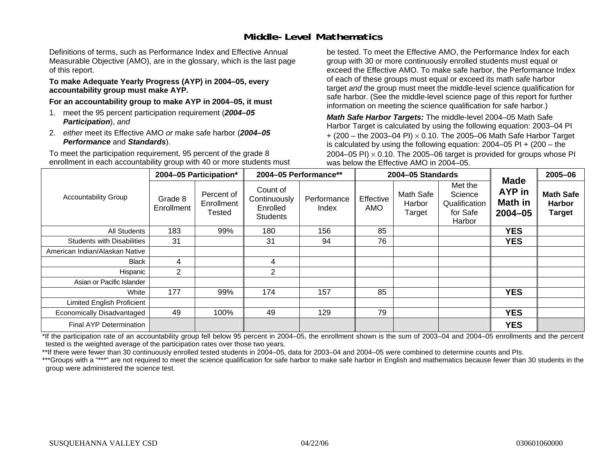### **Middle-Level Mathematics**

Definitions of terms, such as Performance Index and Effective Annual Measurable Objective (AMO), are in the glossary, which is the last page of this report.

#### **To make Adequate Yearly Progress (AYP) in 2004–05, every accountability group must make AYP.**

**For an accountability group to make AYP in 2004–05, it must** 

- 1. meet the 95 percent participation requirement (*2004–05 Participation*), *and*
- 2. *either* meet its Effective AMO *or* make safe harbor (*2004–05 Performance* and *Standards*).

To meet the participation requirement, 95 percent of the grade 8 enrollment in each accountability group with 40 or more students must be tested. To meet the Effective AMO, the Performance Index for each group with 30 or more continuously enrolled students must equal or exceed the Effective AMO. To make safe harbor, the Performance Index of each of these groups must equal or exceed its math safe harbor target *and* the group must meet the middle-level science qualification for safe harbor. (See the middle-level science page of this report for further information on meeting the science qualification for safe harbor.)

*Math Safe Harbor Targets:* The middle-level 2004–05 Math Safe Harbor Target is calculated by using the following equation: 2003–04 PI + (200 – the 2003–04 PI) <sup>×</sup> 0.10. The 2005–06 Math Safe Harbor Target is calculated by using the following equation: 2004–05 PI + (200 – the 2004–05 PI)  $\times$  0.10. The 2005–06 target is provided for groups whose PI was below the Effective AMO in 2004–05.

|                                   |                       | 2004-05 Participation*             |                                                         | 2004-05 Performance** |                  | 2004-05 Standards             |                                                           |                                                        | 2005-06                                            |
|-----------------------------------|-----------------------|------------------------------------|---------------------------------------------------------|-----------------------|------------------|-------------------------------|-----------------------------------------------------------|--------------------------------------------------------|----------------------------------------------------|
| <b>Accountability Group</b>       | Grade 8<br>Enrollment | Percent of<br>Enrollment<br>Tested | Count of<br>Continuously<br>Enrolled<br><b>Students</b> | Performance<br>Index  | Effective<br>AMO | Math Safe<br>Harbor<br>Target | Met the<br>Science<br>Qualification<br>for Safe<br>Harbor | <b>Made</b><br>AYP in<br><b>Math in</b><br>$2004 - 05$ | <b>Math Safe</b><br><b>Harbor</b><br><b>Target</b> |
| All Students                      | 183                   | 99%                                | 180                                                     | 156                   | 85               |                               |                                                           | <b>YES</b>                                             |                                                    |
| <b>Students with Disabilities</b> | 31                    |                                    | 31                                                      | 94                    | 76               |                               |                                                           | <b>YES</b>                                             |                                                    |
| American Indian/Alaskan Native    |                       |                                    |                                                         |                       |                  |                               |                                                           |                                                        |                                                    |
| Black                             | 4                     |                                    | 4                                                       |                       |                  |                               |                                                           |                                                        |                                                    |
| Hispanic                          | 2                     |                                    | $\overline{2}$                                          |                       |                  |                               |                                                           |                                                        |                                                    |
| Asian or Pacific Islander         |                       |                                    |                                                         |                       |                  |                               |                                                           |                                                        |                                                    |
| White                             | 177                   | 99%                                | 174                                                     | 157                   | 85               |                               |                                                           | <b>YES</b>                                             |                                                    |
| Limited English Proficient        |                       |                                    |                                                         |                       |                  |                               |                                                           |                                                        |                                                    |
| Economically Disadvantaged        | 49                    | 100%                               | 49                                                      | 129                   | 79               |                               |                                                           | <b>YES</b>                                             |                                                    |
| Final AYP Determination           |                       |                                    |                                                         |                       |                  |                               |                                                           | <b>YES</b>                                             |                                                    |

\*If the participation rate of an accountability group fell below 95 percent in 2004–05, the enrollment shown is the sum of 2003–04 and 2004–05 enrollments and the percent tested is the weighted average of the participation rates over those two years.

\*\*If there were fewer than 30 continuously enrolled tested students in 2004–05, data for 2003–04 and 2004–05 were combined to determine counts and PIs.

\*\*\*Groups with a "\*\*\*" are not required to meet the science qualification for safe harbor to make safe harbor in English and mathematics because fewer than 30 students in the group were administered the science test.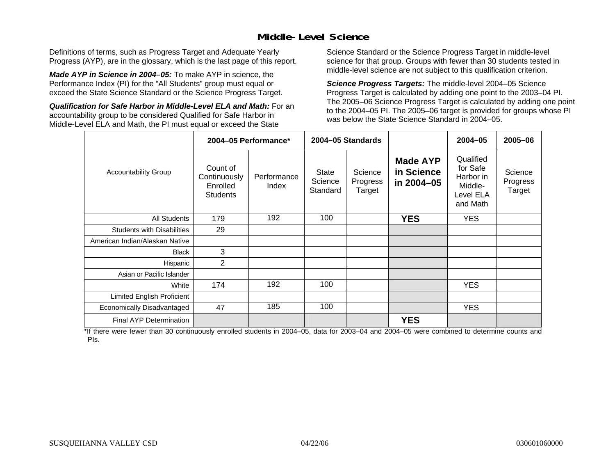### **Middle-Level Science**

Definitions of terms, such as Progress Target and Adequate Yearly Progress (AYP), are in the glossary, which is the last page of this report.

*Made AYP in Science in 2004–05:* To make AYP in science, the Performance Index (PI) for the "All Students" group must equal or exceed the State Science Standard or the Science Progress Target.

*Qualification for Safe Harbor in Middle-Level ELA and Math:* For an accountability group to be considered Qualified for Safe Harbor in Middle-Level ELA and Math, the PI must equal or exceed the State

Science Standard or the Science Progress Target in middle-level science for that group. Groups with fewer than 30 students tested in middle-level science are not subject to this qualification criterion.

*Science Progress Targets:* The middle-level 2004–05 Science Progress Target is calculated by adding one point to the 2003–04 PI. The 2005–06 Science Progress Target is calculated by adding one point to the 2004–05 PI. The 2005–06 target is provided for groups whose PI was below the State Science Standard in 2004–05.

|                                   |                                                         | 2004-05 Performance* |                              | 2004-05 Standards             |                                             | $2004 - 05$                                                            | 2005-06                       |
|-----------------------------------|---------------------------------------------------------|----------------------|------------------------------|-------------------------------|---------------------------------------------|------------------------------------------------------------------------|-------------------------------|
| <b>Accountability Group</b>       | Count of<br>Continuously<br>Enrolled<br><b>Students</b> | Performance<br>Index | State<br>Science<br>Standard | Science<br>Progress<br>Target | <b>Made AYP</b><br>in Science<br>in 2004-05 | Qualified<br>for Safe<br>Harbor in<br>Middle-<br>Level ELA<br>and Math | Science<br>Progress<br>Target |
| <b>All Students</b>               | 179                                                     | 192                  | 100                          |                               | <b>YES</b>                                  | <b>YES</b>                                                             |                               |
| <b>Students with Disabilities</b> | 29                                                      |                      |                              |                               |                                             |                                                                        |                               |
| American Indian/Alaskan Native    |                                                         |                      |                              |                               |                                             |                                                                        |                               |
| <b>Black</b>                      | 3                                                       |                      |                              |                               |                                             |                                                                        |                               |
| Hispanic                          | $\overline{2}$                                          |                      |                              |                               |                                             |                                                                        |                               |
| Asian or Pacific Islander         |                                                         |                      |                              |                               |                                             |                                                                        |                               |
| White                             | 174                                                     | 192                  | 100                          |                               |                                             | <b>YES</b>                                                             |                               |
| Limited English Proficient        |                                                         |                      |                              |                               |                                             |                                                                        |                               |
| Economically Disadvantaged        | 47                                                      | 185                  | 100                          |                               |                                             | <b>YES</b>                                                             |                               |
| <b>Final AYP Determination</b>    |                                                         |                      |                              |                               | <b>YES</b>                                  |                                                                        |                               |

\*If there were fewer than 30 continuously enrolled students in 2004–05, data for 2003–04 and 2004–05 were combined to determine counts and PIs.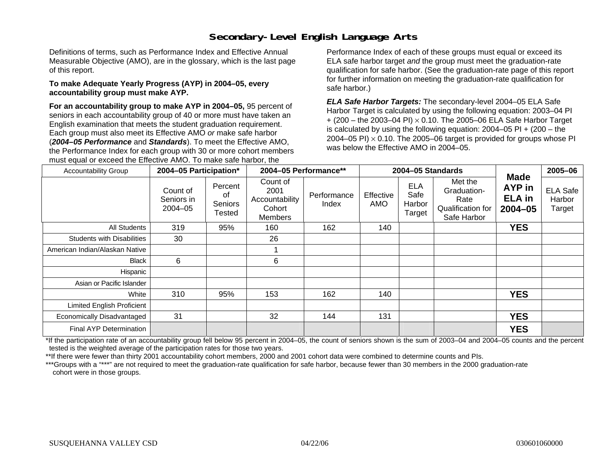# **Secondary-Level English Language Arts**

Definitions of terms, such as Performance Index and Effective Annual Measurable Objective (AMO), are in the glossary, which is the last page of this report.

#### **To make Adequate Yearly Progress (AYP) in 2004–05, every accountability group must make AYP.**

**For an accountability group to make AYP in 2004–05,** 95 percent of seniors in each accountability group of 40 or more must have taken an English examination that meets the student graduation requirement. Each group must also meet its Effective AMO *or* make safe harbor (*2004–05 Performance* and *Standards*). To meet the Effective AMO, the Performance Index for each group with 30 or more cohort members must equal or exceed the Effective AMO. To make safe harbor, the

Performance Index of each of these groups must equal or exceed its ELA safe harbor target *and* the group must meet the graduation-rate qualification for safe harbor. (See the graduation-rate page of this report for further information on meeting the graduation-rate qualification for safe harbor.)

*ELA Safe Harbor Targets:* The secondary-level 2004–05 ELA Safe Harbor Target is calculated by using the following equation: 2003–04 PI + (200 – the 2003–04 PI) <sup>×</sup> 0.10. The 2005–06 ELA Safe Harbor Target is calculated by using the following equation:  $2004-05$  PI  $+$  (200 – the 2004–05 PI)  $\times$  0.10. The 2005–06 target is provided for groups whose PI was below the Effective AMO in 2004–05.

| <b>Accountability Group</b>       | 2004-05 Participation*                |                                    | 2004-05 Performance**                                   |                      | 2004-05 Standards |                                        | <b>Made</b>                                                        | 2005-06                                |                                     |
|-----------------------------------|---------------------------------------|------------------------------------|---------------------------------------------------------|----------------------|-------------------|----------------------------------------|--------------------------------------------------------------------|----------------------------------------|-------------------------------------|
|                                   | Count of<br>Seniors in<br>$2004 - 05$ | Percent<br>of<br>Seniors<br>Tested | Count of<br>2001<br>Accountability<br>Cohort<br>Members | Performance<br>Index | Effective<br>AMO  | <b>ELA</b><br>Safe<br>Harbor<br>Target | Met the<br>Graduation-<br>Rate<br>Qualification for<br>Safe Harbor | AYP in<br><b>ELA</b> in<br>$2004 - 05$ | <b>ELA Safe</b><br>Harbor<br>Target |
| All Students                      | 319                                   | 95%                                | 160                                                     | 162                  | 140               |                                        |                                                                    | <b>YES</b>                             |                                     |
| <b>Students with Disabilities</b> | 30                                    |                                    | 26                                                      |                      |                   |                                        |                                                                    |                                        |                                     |
| American Indian/Alaskan Native    |                                       |                                    |                                                         |                      |                   |                                        |                                                                    |                                        |                                     |
| Black                             | 6                                     |                                    | 6                                                       |                      |                   |                                        |                                                                    |                                        |                                     |
| Hispanic                          |                                       |                                    |                                                         |                      |                   |                                        |                                                                    |                                        |                                     |
| Asian or Pacific Islander         |                                       |                                    |                                                         |                      |                   |                                        |                                                                    |                                        |                                     |
| White                             | 310                                   | 95%                                | 153                                                     | 162                  | 140               |                                        |                                                                    | <b>YES</b>                             |                                     |
| Limited English Proficient        |                                       |                                    |                                                         |                      |                   |                                        |                                                                    |                                        |                                     |
| Economically Disadvantaged        | 31                                    |                                    | 32                                                      | 144                  | 131               |                                        |                                                                    | <b>YES</b>                             |                                     |
| Final AYP Determination           |                                       |                                    |                                                         |                      |                   |                                        |                                                                    | <b>YES</b>                             |                                     |

\*If the participation rate of an accountability group fell below 95 percent in 2004–05, the count of seniors shown is the sum of 2003–04 and 2004–05 counts and the percent tested is the weighted average of the participation rates for those two years.

\*\*If there were fewer than thirty 2001 accountability cohort members, 2000 and 2001 cohort data were combined to determine counts and PIs.

\*\*\*Groups with a "\*\*\*" are not required to meet the graduation-rate qualification for safe harbor, because fewer than 30 members in the 2000 graduation-rate cohort were in those groups.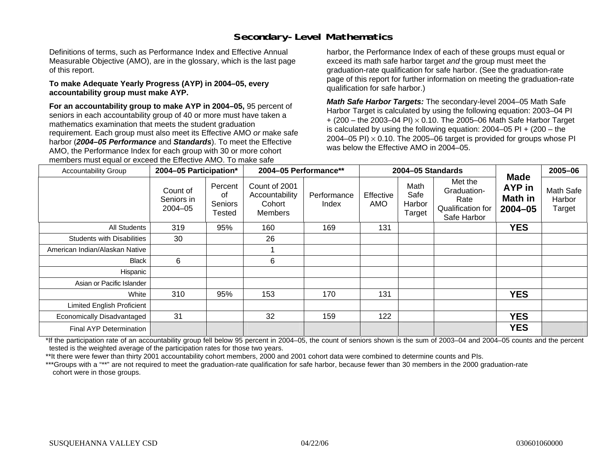# **Secondary-Level Mathematics**

Definitions of terms, such as Performance Index and Effective Annual Measurable Objective (AMO), are in the glossary, which is the last page of this report.

#### **To make Adequate Yearly Progress (AYP) in 2004–05, every accountability group must make AYP.**

**For an accountability group to make AYP in 2004–05,** 95 percent of seniors in each accountability group of 40 or more must have taken a mathematics examination that meets the student graduation requirement. Each group must also meet its Effective AMO *or* make safe harbor (*2004–05 Performance* and *Standards*). To meet the Effective AMO, the Performance Index for each group with 30 or more cohort members must equal or exceed the Effective AMO. To make safe

harbor, the Performance Index of each of these groups must equal or exceed its math safe harbor target *and* the group must meet the graduation-rate qualification for safe harbor. (See the graduation-rate page of this report for further information on meeting the graduation-rate qualification for safe harbor.)

*Math Safe Harbor Targets:* The secondary-level 2004–05 Math Safe Harbor Target is calculated by using the following equation: 2003–04 PI + (200 – the 2003–04 PI) <sup>×</sup> 0.10. The 2005–06 Math Safe Harbor Target is calculated by using the following equation:  $2004-05$  PI  $+$  (200 – the 2004–05 PI)  $\times$  0.10. The 2005–06 target is provided for groups whose PI was below the Effective AMO in 2004–05.

| <b>Accountability Group</b>       | 2004-05 Participation*                |                                    | 2004-05 Performance**                                |                      |                  | 2004-05 Standards                |                                                                    |                                                               | 2005-06                       |
|-----------------------------------|---------------------------------------|------------------------------------|------------------------------------------------------|----------------------|------------------|----------------------------------|--------------------------------------------------------------------|---------------------------------------------------------------|-------------------------------|
|                                   | Count of<br>Seniors in<br>$2004 - 05$ | Percent<br>οf<br>Seniors<br>Tested | Count of 2001<br>Accountability<br>Cohort<br>Members | Performance<br>Index | Effective<br>AMO | Math<br>Safe<br>Harbor<br>Target | Met the<br>Graduation-<br>Rate<br>Qualification for<br>Safe Harbor | <b>Made</b><br><b>AYP</b> in<br><b>Math in</b><br>$2004 - 05$ | Math Safe<br>Harbor<br>Target |
| All Students                      | 319                                   | 95%                                | 160                                                  | 169                  | 131              |                                  |                                                                    | <b>YES</b>                                                    |                               |
| <b>Students with Disabilities</b> | 30                                    |                                    | 26                                                   |                      |                  |                                  |                                                                    |                                                               |                               |
| American Indian/Alaskan Native    |                                       |                                    |                                                      |                      |                  |                                  |                                                                    |                                                               |                               |
| <b>Black</b>                      | 6                                     |                                    | 6                                                    |                      |                  |                                  |                                                                    |                                                               |                               |
| Hispanic                          |                                       |                                    |                                                      |                      |                  |                                  |                                                                    |                                                               |                               |
| Asian or Pacific Islander         |                                       |                                    |                                                      |                      |                  |                                  |                                                                    |                                                               |                               |
| White                             | 310                                   | 95%                                | 153                                                  | 170                  | 131              |                                  |                                                                    | <b>YES</b>                                                    |                               |
| <b>Limited English Proficient</b> |                                       |                                    |                                                      |                      |                  |                                  |                                                                    |                                                               |                               |
| Economically Disadvantaged        | 31                                    |                                    | 32                                                   | 159                  | 122              |                                  |                                                                    | <b>YES</b>                                                    |                               |
| Final AYP Determination           |                                       |                                    |                                                      |                      |                  |                                  |                                                                    | <b>YES</b>                                                    |                               |

\*If the participation rate of an accountability group fell below 95 percent in 2004–05, the count of seniors shown is the sum of 2003–04 and 2004–05 counts and the percent tested is the weighted average of the participation rates for those two years.

\*\*It there were fewer than thirty 2001 accountability cohort members, 2000 and 2001 cohort data were combined to determine counts and PIs.

\*\*\*Groups with a "\*\*" are not required to meet the graduation-rate qualification for safe harbor, because fewer than 30 members in the 2000 graduation-rate cohort were in those groups.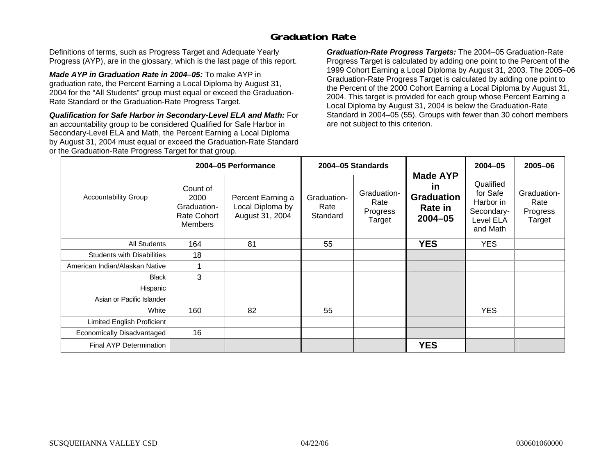### **Graduation Rate**

Definitions of terms, such as Progress Target and Adequate Yearly Progress (AYP), are in the glossary, which is the last page of this report.

*Made AYP in Graduation Rate in 2004–05:* To make AYP in graduation rate, the Percent Earning a Local Diploma by August 31, 2004 for the "All Students" group must equal or exceed the Graduation-Rate Standard or the Graduation-Rate Progress Target.

*Qualification for Safe Harbor in Secondary-Level ELA and Math:* For an accountability group to be considered Qualified for Safe Harbor in Secondary-Level ELA and Math, the Percent Earning a Local Diploma by August 31, 2004 must equal or exceed the Graduation-Rate Standard or the Graduation-Rate Progress Target for that group.

*Graduation-Rate Progress Targets:* The 2004–05 Graduation-Rate Progress Target is calculated by adding one point to the Percent of the 1999 Cohort Earning a Local Diploma by August 31, 2003. The 2005–06 Graduation-Rate Progress Target is calculated by adding one point to the Percent of the 2000 Cohort Earning a Local Diploma by August 31, 2004. This target is provided for each group whose Percent Earning a Local Diploma by August 31, 2004 is below the Graduation-Rate Standard in 2004–05 (55). Groups with fewer than 30 cohort members are not subject to this criterion.

|                                   |                                                                  | 2004-05 Performance                                      |                                 | 2004-05 Standards                         |                                                                                    | 2004-05                                                                   | 2005-06                                   |
|-----------------------------------|------------------------------------------------------------------|----------------------------------------------------------|---------------------------------|-------------------------------------------|------------------------------------------------------------------------------------|---------------------------------------------------------------------------|-------------------------------------------|
| <b>Accountability Group</b>       | Count of<br>2000<br>Graduation-<br>Rate Cohort<br><b>Members</b> | Percent Earning a<br>Local Diploma by<br>August 31, 2004 | Graduation-<br>Rate<br>Standard | Graduation-<br>Rate<br>Progress<br>Target | <b>Made AYP</b><br><u>in</u><br><b>Graduation</b><br><b>Rate in</b><br>$2004 - 05$ | Qualified<br>for Safe<br>Harbor in<br>Secondary-<br>Level ELA<br>and Math | Graduation-<br>Rate<br>Progress<br>Target |
| All Students                      | 164                                                              | 81                                                       | 55                              |                                           | <b>YES</b>                                                                         | <b>YES</b>                                                                |                                           |
| <b>Students with Disabilities</b> | 18                                                               |                                                          |                                 |                                           |                                                                                    |                                                                           |                                           |
| American Indian/Alaskan Native    |                                                                  |                                                          |                                 |                                           |                                                                                    |                                                                           |                                           |
| <b>Black</b>                      | 3                                                                |                                                          |                                 |                                           |                                                                                    |                                                                           |                                           |
| Hispanic                          |                                                                  |                                                          |                                 |                                           |                                                                                    |                                                                           |                                           |
| Asian or Pacific Islander         |                                                                  |                                                          |                                 |                                           |                                                                                    |                                                                           |                                           |
| White                             | 160                                                              | 82                                                       | 55                              |                                           |                                                                                    | <b>YES</b>                                                                |                                           |
| Limited English Proficient        |                                                                  |                                                          |                                 |                                           |                                                                                    |                                                                           |                                           |
| Economically Disadvantaged        | 16                                                               |                                                          |                                 |                                           |                                                                                    |                                                                           |                                           |
| <b>Final AYP Determination</b>    |                                                                  |                                                          |                                 |                                           | <b>YES</b>                                                                         |                                                                           |                                           |